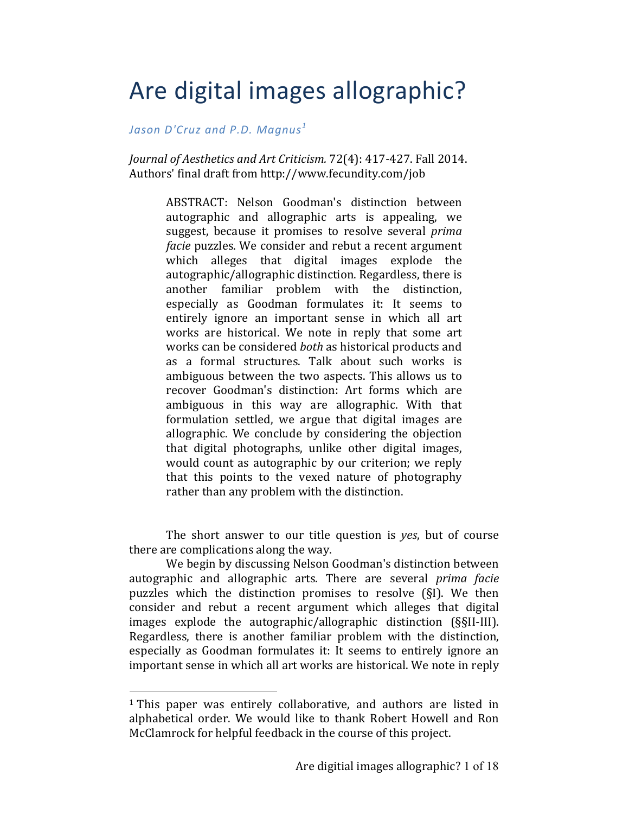# Are digital images allographic?

*Jason D'Cruz and P.D. Magnus<sup>1</sup>* 

*Journal of Aesthetics and Art Criticism.* 72(4): 417-427. Fall 2014. Authors' final draft from http://www.fecundity.com/job

> ABSTRACT: Nelson Goodman's distinction between autographic and allographic arts is appealing, we suggest, because it promises to resolve several *prima facie* puzzles. We consider and rebut a recent argument which alleges that digital images explode the autographic/allographic distinction. Regardless, there is another familiar problem with the distinction, especially as Goodman formulates it: It seems to entirely ignore an important sense in which all art works are historical. We note in reply that some art works can be considered *both* as historical products and as a formal structures. Talk about such works is ambiguous between the two aspects. This allows us to recover Goodman's distinction: Art forms which are ambiguous in this way are allographic. With that formulation settled, we argue that digital images are allographic. We conclude by considering the objection that digital photographs, unlike other digital images, would count as autographic by our criterion; we reply that this points to the vexed nature of photography rather than any problem with the distinction.

The short answer to our title question is *yes*, but of course there are complications along the way.

We begin by discussing Nelson Goodman's distinction between autographic and allographic arts. There are several *prima facie* puzzles which the distinction promises to resolve  $(SI)$ . We then consider and rebut a recent argument which alleges that digital images explode the autographic/allographic distinction (§§II-III). Regardless, there is another familiar problem with the distinction, especially as Goodman formulates it: It seems to entirely ignore an important sense in which all art works are historical. We note in reply

 $1$  This paper was entirely collaborative, and authors are listed in alphabetical order. We would like to thank Robert Howell and Ron McClamrock for helpful feedback in the course of this project.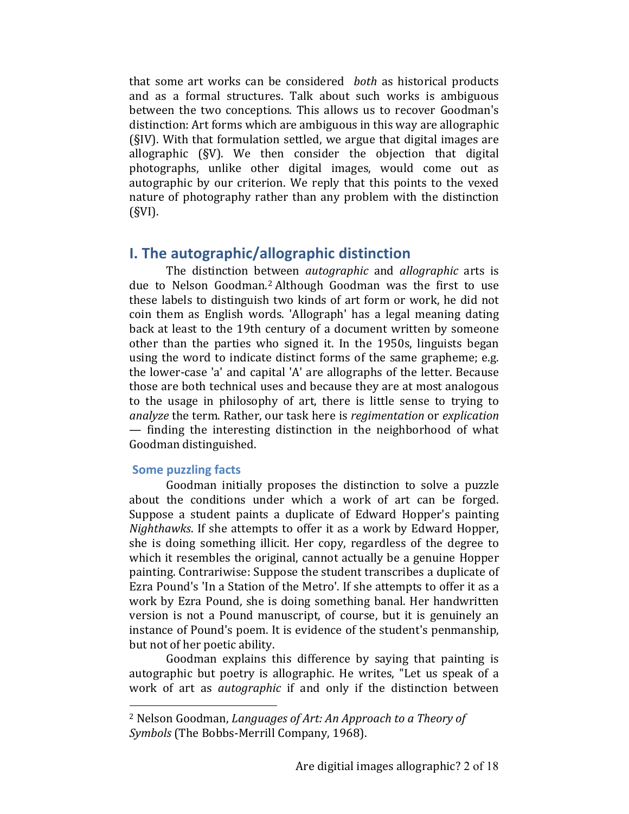that some art works can be considered *both* as historical products and as a formal structures. Talk about such works is ambiguous between the two conceptions. This allows us to recover Goodman's distinction: Art forms which are ambiguous in this way are allographic  $(SIV)$ . With that formulation settled, we argue that digital images are allographic (§V). We then consider the objection that digital photographs, unlike other digital images, would come out as autographic by our criterion. We reply that this points to the vexed nature of photography rather than any problem with the distinction (§VI).

## **I.** The autographic/allographic distinction

The distinction between *autographic* and *allographic* arts is due to Nelson Goodman.<sup>2</sup> Although Goodman was the first to use these labels to distinguish two kinds of art form or work, he did not coin them as English words. 'Allograph' has a legal meaning dating back at least to the 19th century of a document written by someone other than the parties who signed it. In the 1950s, linguists began using the word to indicate distinct forms of the same grapheme; e.g. the lower-case 'a' and capital 'A' are allographs of the letter. Because those are both technical uses and because they are at most analogous to the usage in philosophy of art, there is little sense to trying to *analyze* the term. Rather, our task here is *regimentation* or *explication*  $-$  finding the interesting distinction in the neighborhood of what Goodman distinguished.

#### **Some puzzling facts**

 

Goodman initially proposes the distinction to solve a puzzle about the conditions under which a work of art can be forged. Suppose a student paints a duplicate of Edward Hopper's painting *Nighthawks*. If she attempts to offer it as a work by Edward Hopper, she is doing something illicit. Her copy, regardless of the degree to which it resembles the original, cannot actually be a genuine Hopper painting. Contrariwise: Suppose the student transcribes a duplicate of Ezra Pound's 'In a Station of the Metro'. If she attempts to offer it as a work by Ezra Pound, she is doing something banal. Her handwritten version is not a Pound manuscript, of course, but it is genuinely an instance of Pound's poem. It is evidence of the student's penmanship, but not of her poetic ability.

Goodman explains this difference by saying that painting is autographic but poetry is allographic. He writes, "Let us speak of a work of art as *autographic* if and only if the distinction between

<sup>&</sup>lt;sup>2</sup> Nelson Goodman, *Languages of Art: An Approach to a Theory of Symbols* (The Bobbs-Merrill Company, 1968).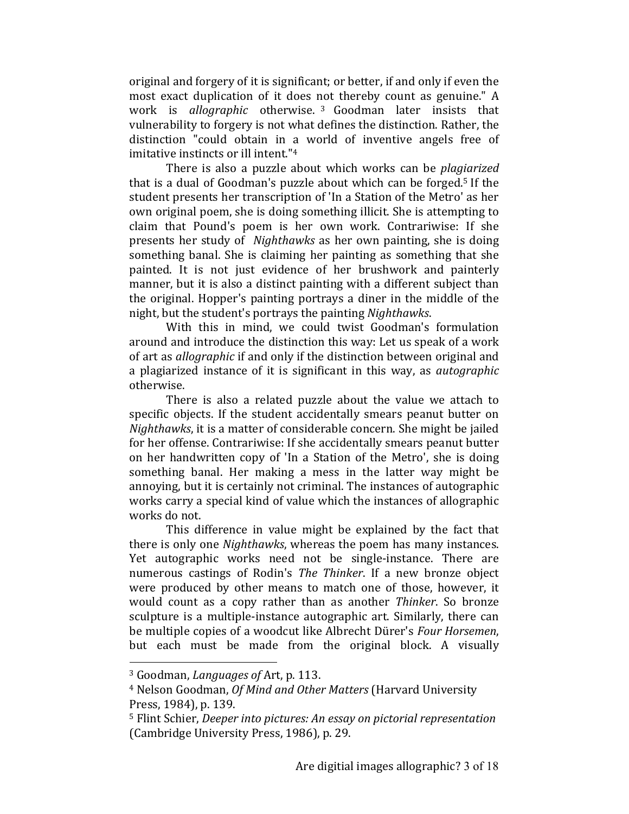original and forgery of it is significant; or better, if and only if even the most exact duplication of it does not thereby count as genuine." A work is *allographic* otherwise.<sup>3</sup> Goodman later insists that vulnerability to forgery is not what defines the distinction. Rather, the distinction "could obtain in a world of inventive angels free of imitative instincts or ill intent."<sup>4</sup>

There is also a puzzle about which works can be *plagiarized* that is a dual of Goodman's puzzle about which can be forged.<sup>5</sup> If the student presents her transcription of 'In a Station of the Metro' as her own original poem, she is doing something illicit. She is attempting to claim that Pound's poem is her own work. Contrariwise: If she presents her study of *Nighthawks* as her own painting, she is doing something banal. She is claiming her painting as something that she painted. It is not just evidence of her brushwork and painterly manner, but it is also a distinct painting with a different subject than the original. Hopper's painting portrays a diner in the middle of the night, but the student's portrays the painting *Nighthawks*.

With this in mind, we could twist Goodman's formulation around and introduce the distinction this way: Let us speak of a work of art as *allographic* if and only if the distinction between original and a plagiarized instance of it is significant in this way, as *autographic* otherwise.

There is also a related puzzle about the value we attach to specific objects. If the student accidentally smears peanut butter on *Nighthawks*, it is a matter of considerable concern. She might be jailed for her offense. Contrariwise: If she accidentally smears peanut butter on her handwritten copy of 'In a Station of the Metro', she is doing something banal. Her making a mess in the latter way might be annoying, but it is certainly not criminal. The instances of autographic works carry a special kind of value which the instances of allographic works do not.

This difference in value might be explained by the fact that there is only one *Nighthawks*, whereas the poem has many instances. Yet autographic works need not be single-instance. There are numerous castings of Rodin's *The Thinker*. If a new bronze object were produced by other means to match one of those, however, it would count as a copy rather than as another *Thinker*. So bronze sculpture is a multiple-instance autographic art. Similarly, there can be multiple copies of a woodcut like Albrecht Dürer's *Four Horsemen*, but each must be made from the original block. A visually

<sup>&</sup>lt;sup>3</sup> Goodman, *Languages of* Art, p. 113.

<sup>&</sup>lt;sup>4</sup> Nelson Goodman, *Of Mind and Other Matters* (Harvard University Press, 1984), p. 139.

<sup>&</sup>lt;sup>5</sup> Flint Schier, *Deeper into pictures: An essay on pictorial representation* (Cambridge University Press, 1986), p. 29.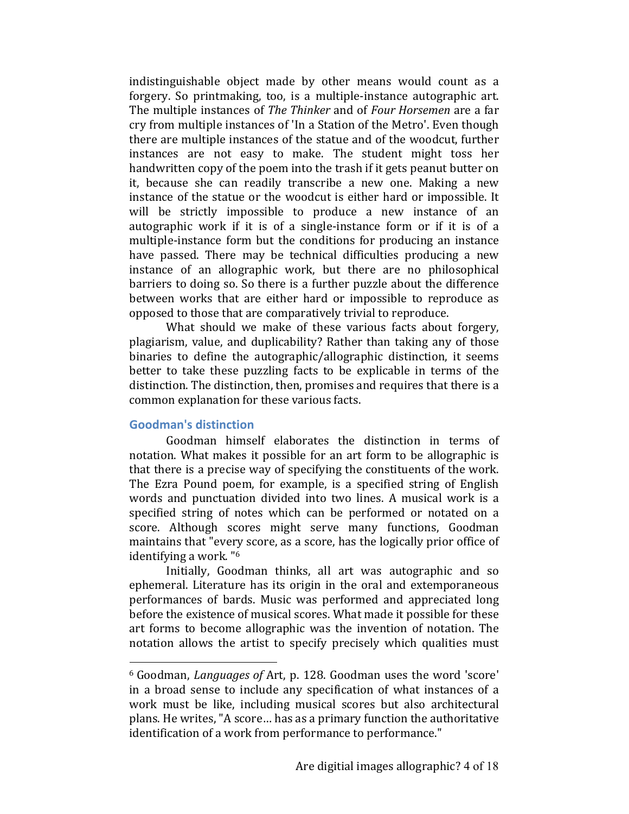indistinguishable object made by other means would count as a forgery. So printmaking, too, is a multiple-instance autographic art. The multiple instances of *The Thinker* and of *Four Horsemen* are a far cry from multiple instances of 'In a Station of the Metro'. Even though there are multiple instances of the statue and of the woodcut, further instances are not easy to make. The student might toss her handwritten copy of the poem into the trash if it gets peanut butter on it, because she can readily transcribe a new one. Making a new instance of the statue or the woodcut is either hard or impossible. It will be strictly impossible to produce a new instance of an autographic work if it is of a single-instance form or if it is of a multiple-instance form but the conditions for producing an instance have passed. There may be technical difficulties producing a new instance of an allographic work, but there are no philosophical barriers to doing so. So there is a further puzzle about the difference between works that are either hard or impossible to reproduce as opposed to those that are comparatively trivial to reproduce.

What should we make of these various facts about forgery, plagiarism, value, and duplicability? Rather than taking any of those binaries to define the autographic/allographic distinction, it seems better to take these puzzling facts to be explicable in terms of the distinction. The distinction, then, promises and requires that there is a common explanation for these various facts.

#### **Goodman's distinction**

 

Goodman himself elaborates the distinction in terms of notation. What makes it possible for an art form to be allographic is that there is a precise way of specifying the constituents of the work. The Ezra Pound poem, for example, is a specified string of English words and punctuation divided into two lines. A musical work is a specified string of notes which can be performed or notated on a score. Although scores might serve many functions, Goodman maintains that "every score, as a score, has the logically prior office of identifying a work. "<sup>6</sup>

Initially, Goodman thinks, all art was autographic and so ephemeral. Literature has its origin in the oral and extemporaneous performances of bards. Music was performed and appreciated long before the existence of musical scores. What made it possible for these art forms to become allographic was the invention of notation. The notation allows the artist to specify precisely which qualities must

<sup>&</sup>lt;sup>6</sup> Goodman, *Languages of* Art, p. 128. Goodman uses the word 'score' in a broad sense to include any specification of what instances of a work must be like, including musical scores but also architectural plans. He writes, "A score... has as a primary function the authoritative identification of a work from performance to performance."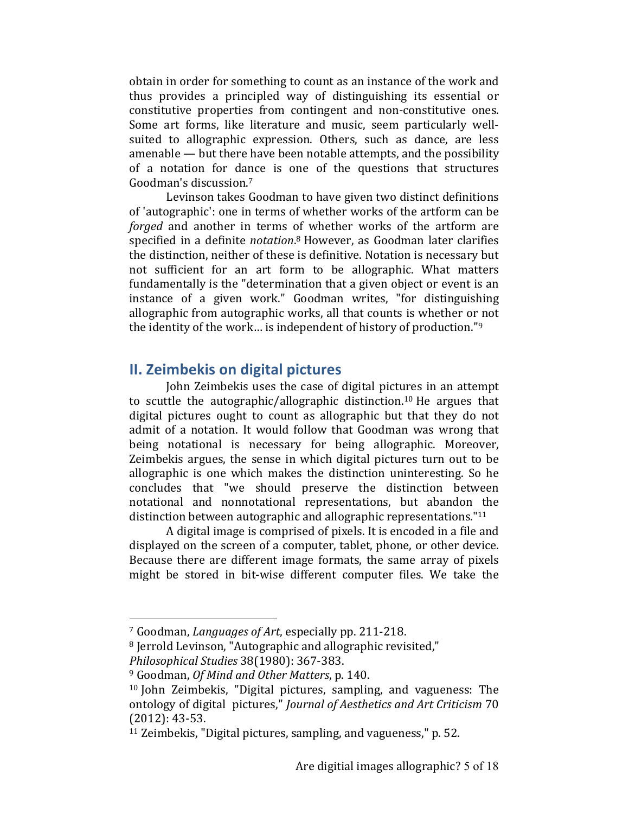obtain in order for something to count as an instance of the work and thus provides a principled way of distinguishing its essential or constitutive properties from contingent and non-constitutive ones. Some art forms, like literature and music, seem particularly wellsuited to allographic expression. Others, such as dance, are less amenable  $-$  but there have been notable attempts, and the possibility of a notation for dance is one of the questions that structures Goodman's discussion.7

Levinson takes Goodman to have given two distinct definitions of 'autographic': one in terms of whether works of the artform can be *forged* and another in terms of whether works of the artform are specified in a definite *notation*.<sup>8</sup> However, as Goodman later clarifies the distinction, neither of these is definitive. Notation is necessary but not sufficient for an art form to be allographic. What matters fundamentally is the "determination that a given object or event is an instance of a given work." Goodman writes, "for distinguishing allographic from autographic works, all that counts is whether or not the identity of the work... is independent of history of production."<sup>9</sup>

# **II. Zeimbekis on digital pictures**

John Zeimbekis uses the case of digital pictures in an attempt to scuttle the autographic/allographic distinction.<sup>10</sup> He argues that digital pictures ought to count as allographic but that they do not admit of a notation. It would follow that Goodman was wrong that being notational is necessary for being allographic. Moreover, Zeimbekis argues, the sense in which digital pictures turn out to be allographic is one which makes the distinction uninteresting. So he concludes that "we should preserve the distinction between notational and nonnotational representations, but abandon the distinction between autographic and allographic representations." $11$ 

A digital image is comprised of pixels. It is encoded in a file and displayed on the screen of a computer, tablet, phone, or other device. Because there are different image formats, the same array of pixels might be stored in bit-wise different computer files. We take the

<sup>&</sup>lt;sup>7</sup> Goodman, *Languages of Art*, especially pp. 211-218.

<sup>&</sup>lt;sup>8</sup> Jerrold Levinson, "Autographic and allographic revisited,"

*Philosophical Studies* 38(1980): 367-383.

<sup>&</sup>lt;sup>9</sup> Goodman, *Of Mind and Other Matters*, p. 140.

<sup>&</sup>lt;sup>10</sup> John Zeimbekis, "Digital pictures, sampling, and vagueness: The ontology of digital pictures," *Journal of Aesthetics and Art Criticism* 70  $(2012): 43-53.$ 

 $11$  Zeimbekis, "Digital pictures, sampling, and vagueness," p. 52.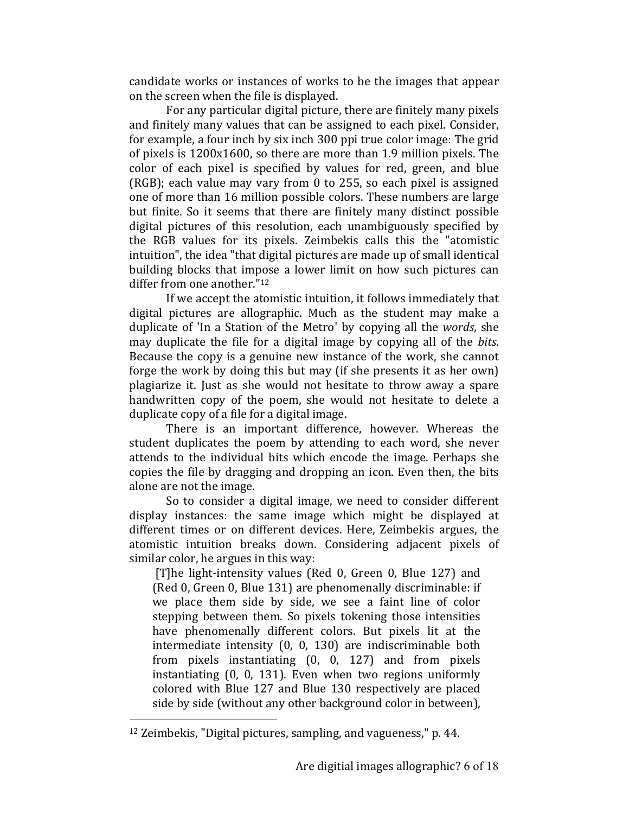candidate works or instances of works to be the images that appear on the screen when the file is displayed.

For any particular digital picture, there are finitely many pixels and finitely many values that can be assigned to each pixel. Consider, for example, a four inch by six inch 300 ppi true color image: The grid of pixels is  $1200x1600$ , so there are more than 1.9 million pixels. The color of each pixel is specified by values for red, green, and blue (RGB); each value may vary from  $0$  to 255, so each pixel is assigned one of more than 16 million possible colors. These numbers are large but finite. So it seems that there are finitely many distinct possible digital pictures of this resolution, each unambiguously specified by the RGB values for its pixels. Zeimbekis calls this the "atomistic intuition", the idea "that digital pictures are made up of small identical building blocks that impose a lower limit on how such pictures can differ from one another." $12$ 

If we accept the atomistic intuition, it follows immediately that digital pictures are allographic. Much as the student may make a duplicate of 'In a Station of the Metro' by copying all the *words*, she may duplicate the file for a digital image by copying all of the *bits*. Because the copy is a genuine new instance of the work, she cannot forge the work by doing this but may (if she presents it as her own) plagiarize it. Just as she would not hesitate to throw away a spare handwritten copy of the poem, she would not hesitate to delete a duplicate copy of a file for a digital image.

There is an important difference, however. Whereas the student duplicates the poem by attending to each word, she never attends to the individual bits which encode the image. Perhaps she copies the file by dragging and dropping an icon. Even then, the bits alone are not the image.

So to consider a digital image, we need to consider different display instances: the same image which might be displayed at different times or on different devices. Here, Zeimbekis argues, the atomistic intuition breaks down. Considering adjacent pixels of similar color, he argues in this way:

[T]he light-intensity values (Red 0, Green 0, Blue 127) and (Red 0, Green 0, Blue 131) are phenomenally discriminable: if we place them side by side, we see a faint line of color stepping between them. So pixels tokening those intensities have phenomenally different colors. But pixels lit at the intermediate intensity  $(0, 0, 130)$  are indiscriminable both from pixels instantiating  $(0, 0, 127)$  and from pixels instantiating  $(0, 0, 131)$ . Even when two regions uniformly colored with Blue 127 and Blue 130 respectively are placed side by side (without any other background color in between),

 $12$  Zeimbekis, "Digital pictures, sampling, and vagueness," p. 44.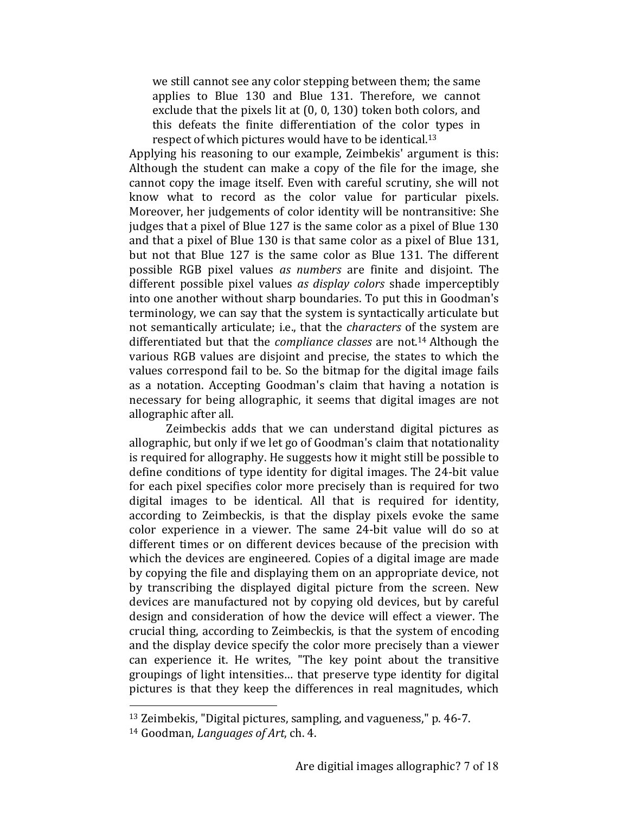we still cannot see any color stepping between them; the same applies to Blue 130 and Blue 131. Therefore, we cannot exclude that the pixels lit at  $(0, 0, 130)$  token both colors, and this defeats the finite differentiation of the color types in respect of which pictures would have to be identical.<sup>13</sup>

Applying his reasoning to our example, Zeimbekis' argument is this: Although the student can make a copy of the file for the image, she cannot copy the image itself. Even with careful scrutiny, she will not know what to record as the color value for particular pixels. Moreover, her judgements of color identity will be nontransitive: She judges that a pixel of Blue 127 is the same color as a pixel of Blue 130 and that a pixel of Blue 130 is that same color as a pixel of Blue 131, but not that Blue 127 is the same color as Blue 131. The different possible RGB pixel values *as numbers* are finite and disjoint. The different possible pixel values *as display colors* shade imperceptibly into one another without sharp boundaries. To put this in Goodman's terminology, we can say that the system is syntactically articulate but not semantically articulate; i.e., that the *characters* of the system are differentiated but that the *compliance classes* are not.<sup>14</sup> Although the various RGB values are disjoint and precise, the states to which the values correspond fail to be. So the bitmap for the digital image fails as a notation. Accepting Goodman's claim that having a notation is necessary for being allographic, it seems that digital images are not allographic after all.

Zeimbeckis adds that we can understand digital pictures as allographic, but only if we let go of Goodman's claim that notationality is required for allography. He suggests how it might still be possible to define conditions of type identity for digital images. The 24-bit value for each pixel specifies color more precisely than is required for two digital images to be identical. All that is required for identity, according to Zeimbeckis, is that the display pixels evoke the same color experience in a viewer. The same 24-bit value will do so at different times or on different devices because of the precision with which the devices are engineered. Copies of a digital image are made by copying the file and displaying them on an appropriate device, not by transcribing the displayed digital picture from the screen. New devices are manufactured not by copying old devices, but by careful design and consideration of how the device will effect a viewer. The crucial thing, according to Zeimbeckis, is that the system of encoding and the display device specify the color more precisely than a viewer can experience it. He writes, "The key point about the transitive groupings of light intensities... that preserve type identity for digital pictures is that they keep the differences in real magnitudes, which

 $13$  Zeimbekis, "Digital pictures, sampling, and vagueness," p. 46-7.

<sup>&</sup>lt;sup>14</sup> Goodman, *Languages of Art*, ch. 4.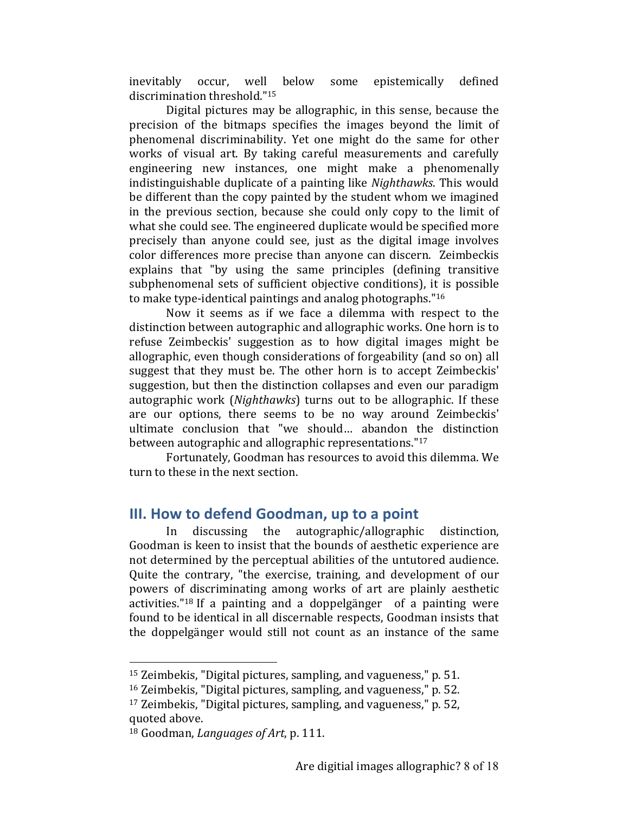inevitably occur, well below some epistemically defined discrimination threshold."<sup>15</sup>

Digital pictures may be allographic, in this sense, because the precision of the bitmaps specifies the images beyond the limit of phenomenal discriminability. Yet one might do the same for other works of visual art. By taking careful measurements and carefully engineering new instances, one might make a phenomenally indistinguishable duplicate of a painting like *Nighthawks*. This would be different than the copy painted by the student whom we imagined in the previous section, because she could only copy to the limit of what she could see. The engineered duplicate would be specified more precisely than anyone could see, just as the digital image involves color differences more precise than anyone can discern. Zeimbeckis explains that "by using the same principles (defining transitive subphenomenal sets of sufficient objective conditions), it is possible to make type-identical paintings and analog photographs." $16$ 

Now it seems as if we face a dilemma with respect to the distinction between autographic and allographic works. One horn is to refuse Zeimbeckis' suggestion as to how digital images might be allographic, even though considerations of forgeability (and so on) all suggest that they must be. The other horn is to accept Zeimbeckis' suggestion, but then the distinction collapses and even our paradigm autographic work (*Nighthawks*) turns out to be allographic. If these are our options, there seems to be no way around Zeimbeckis' ultimate conclusion that "we should... abandon the distinction between autographic and allographic representations."<sup>17</sup>

Fortunately, Goodman has resources to avoid this dilemma. We turn to these in the next section.

# **III. How to defend Goodman, up to a point**

In discussing the autographic/allographic distinction, Goodman is keen to insist that the bounds of aesthetic experience are not determined by the perceptual abilities of the untutored audience. Quite the contrary, "the exercise, training, and development of our powers of discriminating among works of art are plainly aesthetic activities."<sup>18</sup> If a painting and a doppelgänger of a painting were found to be identical in all discernable respects, Goodman insists that the doppelgänger would still not count as an instance of the same

 $15$  Zeimbekis, "Digital pictures, sampling, and vagueness," p. 51.

 $16$  Zeimbekis, "Digital pictures, sampling, and vagueness," p. 52.

 $17$  Zeimbekis, "Digital pictures, sampling, and vagueness," p. 52, quoted above.

<sup>&</sup>lt;sup>18</sup> Goodman, *Languages of Art*, p. 111.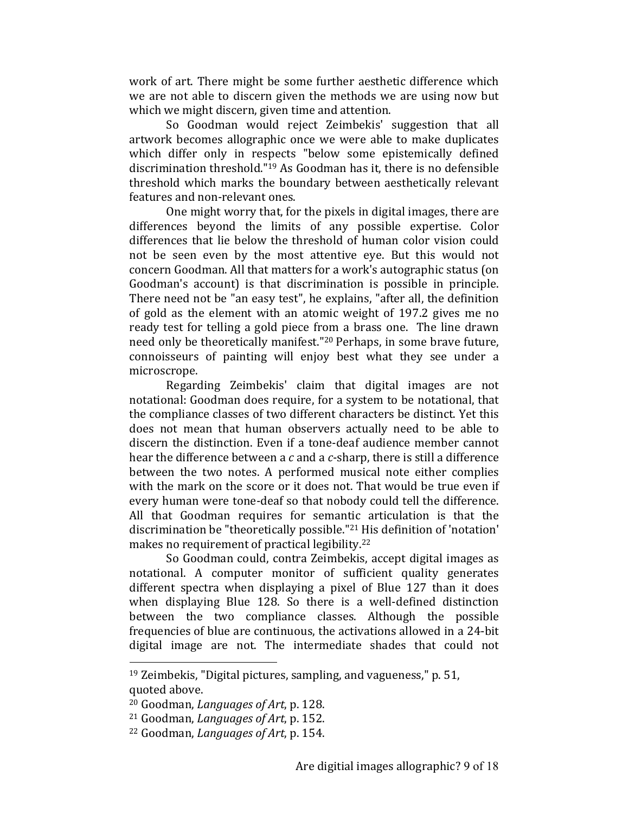work of art. There might be some further aesthetic difference which we are not able to discern given the methods we are using now but which we might discern, given time and attention.

So Goodman would reject Zeimbekis' suggestion that all artwork becomes allographic once we were able to make duplicates which differ only in respects "below some epistemically defined discrimination threshold."<sup>19</sup> As Goodman has it, there is no defensible threshold which marks the boundary between aesthetically relevant features and non-relevant ones.

One might worry that, for the pixels in digital images, there are differences beyond the limits of any possible expertise. Color differences that lie below the threshold of human color vision could not be seen even by the most attentive eye. But this would not concern Goodman. All that matters for a work's autographic status (on Goodman's account) is that discrimination is possible in principle. There need not be "an easy test", he explains, "after all, the definition of gold as the element with an atomic weight of 197.2 gives me no ready test for telling a gold piece from a brass one. The line drawn need only be theoretically manifest."<sup>20</sup> Perhaps, in some brave future, connoisseurs of painting will enjoy best what they see under a microscrope.

Regarding Zeimbekis' claim that digital images are not notational: Goodman does require, for a system to be notational, that the compliance classes of two different characters be distinct. Yet this does not mean that human observers actually need to be able to discern the distinction. Even if a tone-deaf audience member cannot hear the difference between a c and a c-sharp, there is still a difference between the two notes. A performed musical note either complies with the mark on the score or it does not. That would be true even if every human were tone-deaf so that nobody could tell the difference. All that Goodman requires for semantic articulation is that the discrimination be "theoretically possible."<sup>21</sup> His definition of 'notation' makes no requirement of practical legibility.<sup>22</sup>

So Goodman could, contra Zeimbekis, accept digital images as notational. A computer monitor of sufficient quality generates different spectra when displaying a pixel of Blue 127 than it does when displaying Blue 128. So there is a well-defined distinction between the two compliance classes. Although the possible frequencies of blue are continuous, the activations allowed in a 24-bit digital image are not. The intermediate shades that could not

 $19$  Zeimbekis, "Digital pictures, sampling, and vagueness," p. 51, quoted above.

<sup>&</sup>lt;sup>20</sup> Goodman, *Languages of Art*, p. 128.

<sup>&</sup>lt;sup>21</sup> Goodman, *Languages of Art*, p. 152.

<sup>&</sup>lt;sup>22</sup> Goodman, *Languages of Art*, p. 154.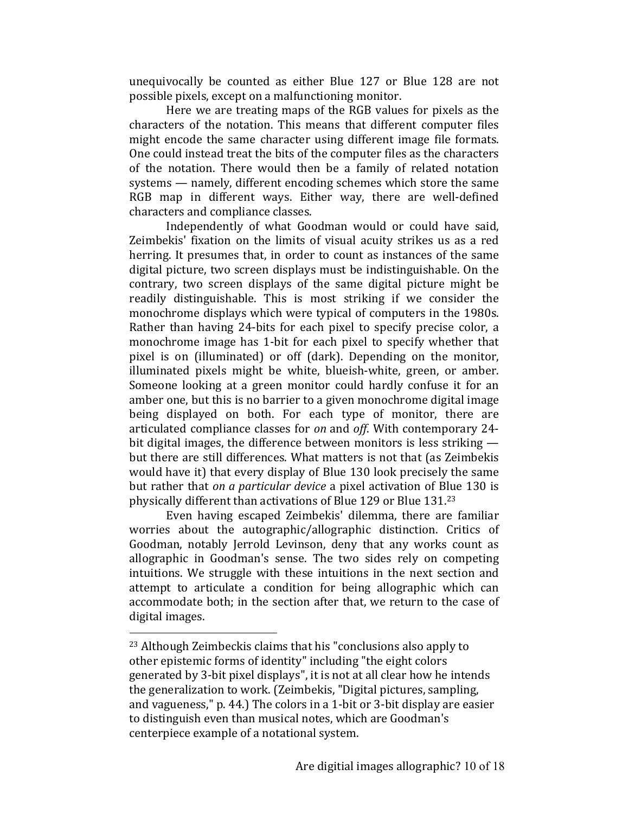unequivocally be counted as either Blue 127 or Blue 128 are not possible pixels, except on a malfunctioning monitor.

Here we are treating maps of the RGB values for pixels as the characters of the notation. This means that different computer files might encode the same character using different image file formats. One could instead treat the bits of the computer files as the characters of the notation. There would then be a family of related notation systems — namely, different encoding schemes which store the same RGB map in different ways. Either way, there are well-defined characters and compliance classes.

Independently of what Goodman would or could have said, Zeimbekis' fixation on the limits of visual acuity strikes us as a red herring. It presumes that, in order to count as instances of the same digital picture, two screen displays must be indistinguishable. On the contrary, two screen displays of the same digital picture might be readily distinguishable. This is most striking if we consider the monochrome displays which were typical of computers in the 1980s. Rather than having 24-bits for each pixel to specify precise color, a monochrome image has 1-bit for each pixel to specify whether that pixel is on (illuminated) or off (dark). Depending on the monitor, illuminated pixels might be white, blueish-white, green, or amber. Someone looking at a green monitor could hardly confuse it for an amber one, but this is no barrier to a given monochrome digital image being displayed on both. For each type of monitor, there are articulated compliance classes for *on* and *off*. With contemporary 24bit digital images, the difference between monitors is less striking  $$ but there are still differences. What matters is not that (as Zeimbekis would have it) that every display of Blue 130 look precisely the same but rather that *on a particular device* a pixel activation of Blue 130 is physically different than activations of Blue 129 or Blue 131.<sup>23</sup>

Even having escaped Zeimbekis' dilemma, there are familiar worries about the autographic/allographic distinction. Critics of Goodman, notably Jerrold Levinson, deny that any works count as allographic in Goodman's sense. The two sides rely on competing intuitions. We struggle with these intuitions in the next section and attempt to articulate a condition for being allographic which can accommodate both; in the section after that, we return to the case of digital images.

 $23$  Although Zeimbeckis claims that his "conclusions also apply to other epistemic forms of identity" including "the eight colors generated by 3-bit pixel displays", it is not at all clear how he intends the generalization to work. (Zeimbekis, "Digital pictures, sampling, and vagueness,"  $p. 44$ .) The colors in a 1-bit or 3-bit display are easier to distinguish even than musical notes, which are Goodman's centerpiece example of a notational system.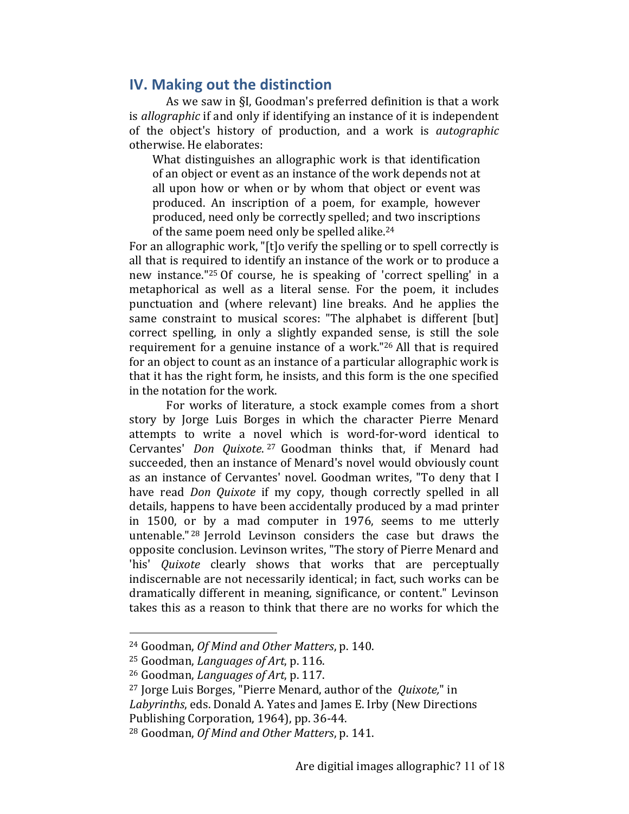# **IV. Making out the distinction**

As we saw in §I, Goodman's preferred definition is that a work is *allographic* if and only if identifying an instance of it is independent of the object's history of production, and a work is *autographic* otherwise. He elaborates:

What distinguishes an allographic work is that identification of an object or event as an instance of the work depends not at all upon how or when or by whom that object or event was produced. An inscription of a poem, for example, however produced, need only be correctly spelled; and two inscriptions of the same poem need only be spelled alike. $24$ 

For an allographic work, "[t]o verify the spelling or to spell correctly is all that is required to identify an instance of the work or to produce a new instance."<sup>25</sup> Of course, he is speaking of 'correct spelling' in a metaphorical as well as a literal sense. For the poem, it includes punctuation and (where relevant) line breaks. And he applies the same constraint to musical scores: "The alphabet is different [but] correct spelling, in only a slightly expanded sense, is still the sole requirement for a genuine instance of a work." $26$  All that is required for an object to count as an instance of a particular allographic work is that it has the right form, he insists, and this form is the one specified in the notation for the work.

For works of literature, a stock example comes from a short story by Jorge Luis Borges in which the character Pierre Menard attempts to write a novel which is word-for-word identical to Cervantes' *Don Quixote*. <sup>27</sup> Goodman thinks that, if Menard had succeeded, then an instance of Menard's novel would obviously count as an instance of Cervantes' novel. Goodman writes, "To deny that I have read *Don Quixote* if my copy, though correctly spelled in all details, happens to have been accidentally produced by a mad printer in 1500, or by a mad computer in 1976, seems to me utterly untenable.<sup>" 28</sup> Jerrold Levinson considers the case but draws the opposite conclusion. Levinson writes, "The story of Pierre Menard and 'his' *Quixote* clearly shows that works that are perceptually indiscernable are not necessarily identical; in fact, such works can be dramatically different in meaning, significance, or content." Levinson takes this as a reason to think that there are no works for which the

<sup>&</sup>lt;sup>24</sup> Goodman, *Of Mind and Other Matters*, p. 140.

<sup>&</sup>lt;sup>25</sup> Goodman, *Languages of Art*, p. 116.

<sup>&</sup>lt;sup>26</sup> Goodman, *Languages of Art*, p. 117.

<sup>&</sup>lt;sup>27</sup> Jorge Luis Borges, "Pierre Menard, author of the *Quixote*," in Labyrinths, eds. Donald A. Yates and James E. Irby (New Directions Publishing Corporation, 1964), pp. 36-44.

<sup>&</sup>lt;sup>28</sup> Goodman, *Of Mind and Other Matters*, p. 141.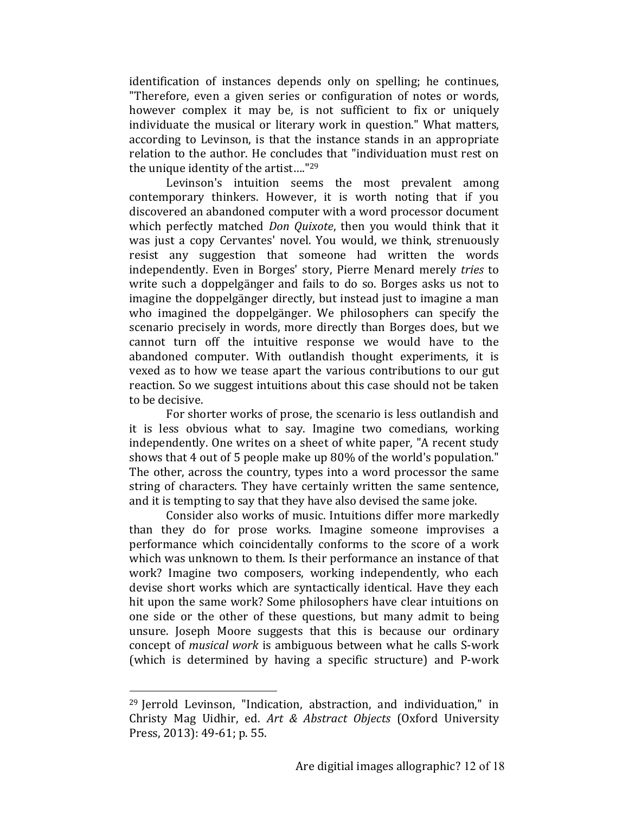identification of instances depends only on spelling; he continues, "Therefore, even a given series or configuration of notes or words, however complex it may be, is not sufficient to fix or uniquely individuate the musical or literary work in question." What matters, according to Levinson, is that the instance stands in an appropriate relation to the author. He concludes that "individuation must rest on the unique identity of the artist...."<sup>29</sup>

Levinson's intuition seems the most prevalent among contemporary thinkers. However, it is worth noting that if you discovered an abandoned computer with a word processor document which perfectly matched *Don Quixote*, then you would think that it was just a copy Cervantes' novel. You would, we think, strenuously resist any suggestion that someone had written the words independently. Even in Borges' story, Pierre Menard merely *tries* to write such a doppelgänger and fails to do so. Borges asks us not to imagine the doppelgänger directly, but instead just to imagine a man who imagined the doppelgänger. We philosophers can specify the scenario precisely in words, more directly than Borges does, but we cannot turn off the intuitive response we would have to the abandoned computer. With outlandish thought experiments, it is vexed as to how we tease apart the various contributions to our gut reaction. So we suggest intuitions about this case should not be taken to be decisive.

For shorter works of prose, the scenario is less outlandish and it is less obvious what to say. Imagine two comedians, working independently. One writes on a sheet of white paper, "A recent study shows that 4 out of 5 people make up 80% of the world's population." The other, across the country, types into a word processor the same string of characters. They have certainly written the same sentence, and it is tempting to say that they have also devised the same joke.

Consider also works of music. Intuitions differ more markedly than they do for prose works. Imagine someone improvises a performance which coincidentally conforms to the score of a work which was unknown to them. Is their performance an instance of that work? Imagine two composers, working independently, who each devise short works which are syntactically identical. Have they each hit upon the same work? Some philosophers have clear intuitions on one side or the other of these questions, but many admit to being unsure. Joseph Moore suggests that this is because our ordinary concept of *musical work* is ambiguous between what he calls S-work (which is determined by having a specific structure) and P-work

 $29$  Jerrold Levinson, "Indication, abstraction, and individuation," in Christy Mag Uidhir, ed. *Art & Abstract Objects* (Oxford University Press, 2013): 49-61; p. 55.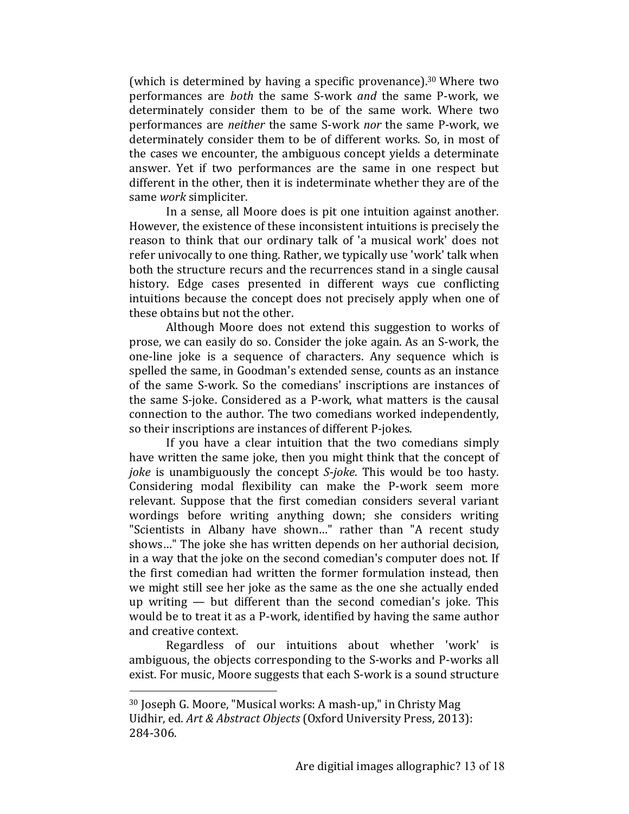(which is determined by having a specific provenance).<sup>30</sup> Where two performances are *both* the same S-work *and* the same P-work, we determinately consider them to be of the same work. Where two performances are *neither* the same S-work *nor* the same P-work, we determinately consider them to be of different works. So, in most of the cases we encounter, the ambiguous concept vields a determinate answer. Yet if two performances are the same in one respect but different in the other, then it is indeterminate whether they are of the same *work* simpliciter.

In a sense, all Moore does is pit one intuition against another. However, the existence of these inconsistent intuitions is precisely the reason to think that our ordinary talk of 'a musical work' does not refer univocally to one thing. Rather, we typically use 'work' talk when both the structure recurs and the recurrences stand in a single causal history. Edge cases presented in different ways cue conflicting intuitions because the concept does not precisely apply when one of these obtains but not the other.

Although Moore does not extend this suggestion to works of prose, we can easily do so. Consider the joke again. As an S-work, the one-line joke is a sequence of characters. Any sequence which is spelled the same, in Goodman's extended sense, counts as an instance of the same S-work. So the comedians' inscriptions are instances of the same S-joke. Considered as a P-work, what matters is the causal connection to the author. The two comedians worked independently, so their inscriptions are instances of different P-jokes.

If you have a clear intuition that the two comedians simply have written the same joke, then you might think that the concept of *joke* is unambiguously the concept *S-joke*. This would be too hasty. Considering modal flexibility can make the P-work seem more relevant. Suppose that the first comedian considers several variant wordings before writing anything down; she considers writing "Scientists in Albany have shown..." rather than "A recent study shows..." The joke she has written depends on her authorial decision, in a way that the joke on the second comedian's computer does not. If the first comedian had written the former formulation instead, then we might still see her joke as the same as the one she actually ended up writing  $-$  but different than the second comedian's joke. This would be to treat it as a P-work, identified by having the same author and creative context.

Regardless of our intuitions about whether 'work' is ambiguous, the objects corresponding to the S-works and P-works all exist. For music, Moore suggests that each S-work is a sound structure

 $30$  Joseph G. Moore, "Musical works: A mash-up," in Christy Mag Uidhir, ed. *Art & Abstract Objects* (Oxford University Press, 2013): 284-306.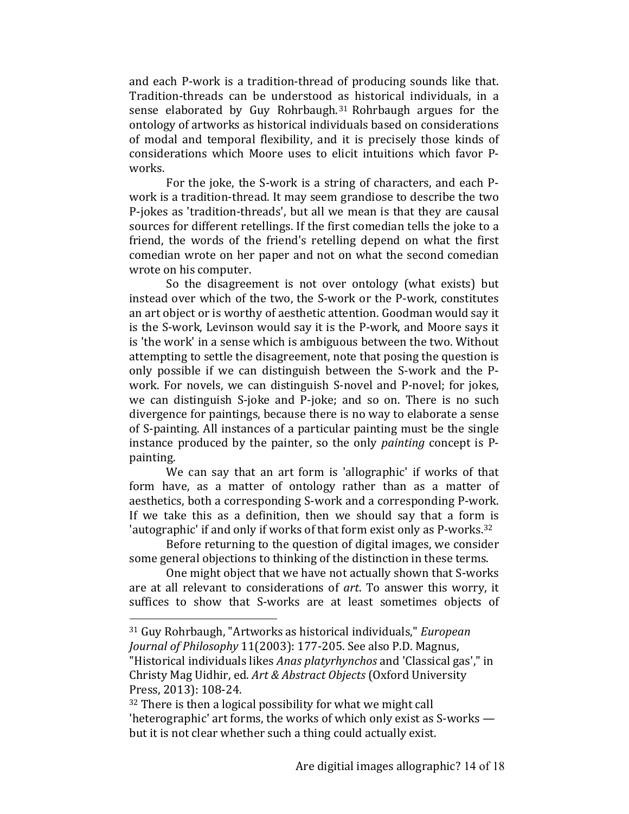and each P-work is a tradition-thread of producing sounds like that. Tradition-threads can be understood as historical individuals, in a sense elaborated by Guy Rohrbaugh.<sup>31</sup> Rohrbaugh argues for the ontology of artworks as historical individuals based on considerations of modal and temporal flexibility, and it is precisely those kinds of considerations which Moore uses to elicit intuitions which favor Pworks.

For the joke, the S-work is a string of characters, and each Pwork is a tradition-thread. It may seem grandiose to describe the two P-jokes as 'tradition-threads', but all we mean is that they are causal sources for different retellings. If the first comedian tells the joke to a friend, the words of the friend's retelling depend on what the first comedian wrote on her paper and not on what the second comedian wrote on his computer.

So the disagreement is not over ontology (what exists) but instead over which of the two, the S-work or the P-work, constitutes an art object or is worthy of aesthetic attention. Goodman would say it is the S-work, Levinson would say it is the P-work, and Moore says it is 'the work' in a sense which is ambiguous between the two. Without attempting to settle the disagreement, note that posing the question is only possible if we can distinguish between the S-work and the Pwork. For novels, we can distinguish S-novel and P-novel; for jokes, we can distinguish S-joke and P-joke; and so on. There is no such divergence for paintings, because there is no way to elaborate a sense of S-painting. All instances of a particular painting must be the single instance produced by the painter, so the only *painting* concept is Ppainting.

We can say that an art form is 'allographic' if works of that form have, as a matter of ontology rather than as a matter of aesthetics, both a corresponding S-work and a corresponding P-work. If we take this as a definition, then we should say that a form is 'autographic' if and only if works of that form exist only as P-works.<sup>32</sup>

Before returning to the question of digital images, we consider some general objections to thinking of the distinction in these terms.

One might object that we have not actually shown that S-works are at all relevant to considerations of art. To answer this worry, it suffices to show that S-works are at least sometimes objects of

<sup>31</sup> Guy Rohrbaugh, "Artworks as historical individuals," *European Journal of Philosophy* 11(2003): 177-205. See also P.D. Magnus, "Historical individuals likes *Anas platyrhynchos* and 'Classical gas'," in Christy Mag Uidhir, ed. *Art & Abstract Objects* (Oxford University Press, 2013): 108-24.

 $32$  There is then a logical possibility for what we might call 'heterographic' art forms, the works of which only exist as  $S$ -works but it is not clear whether such a thing could actually exist.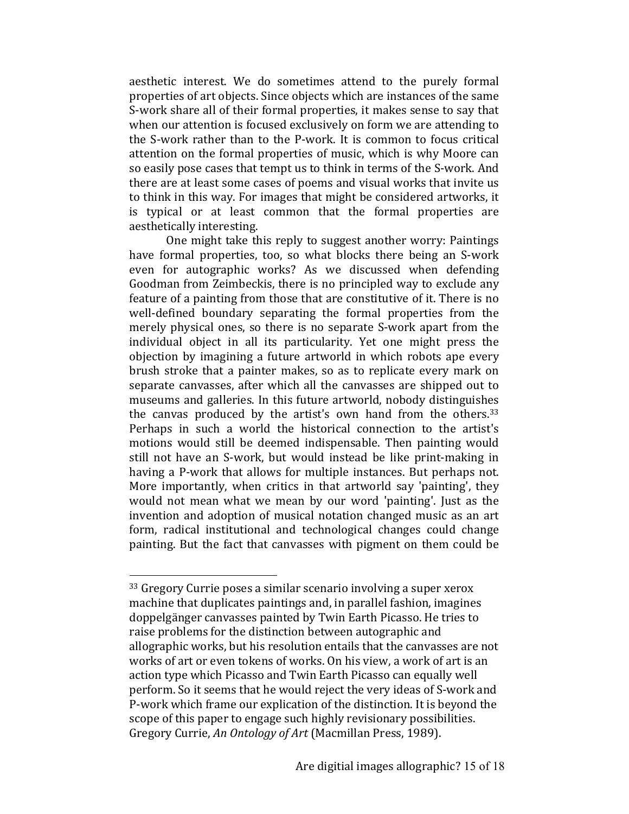aesthetic interest. We do sometimes attend to the purely formal properties of art objects. Since objects which are instances of the same S-work share all of their formal properties, it makes sense to say that when our attention is focused exclusively on form we are attending to the S-work rather than to the P-work. It is common to focus critical attention on the formal properties of music, which is why Moore can so easily pose cases that tempt us to think in terms of the S-work. And there are at least some cases of poems and visual works that invite us to think in this way. For images that might be considered artworks, it is typical or at least common that the formal properties are aesthetically interesting.

One might take this reply to suggest another worry: Paintings have formal properties, too, so what blocks there being an S-work even for autographic works? As we discussed when defending Goodman from Zeimbeckis, there is no principled way to exclude any feature of a painting from those that are constitutive of it. There is no well-defined boundary separating the formal properties from the merely physical ones, so there is no separate S-work apart from the individual object in all its particularity. Yet one might press the objection by imagining a future artworld in which robots ape every brush stroke that a painter makes, so as to replicate every mark on separate canvasses, after which all the canvasses are shipped out to museums and galleries. In this future artworld, nobody distinguishes the canvas produced by the artist's own hand from the others. $33$ Perhaps in such a world the historical connection to the artist's motions would still be deemed indispensable. Then painting would still not have an S-work, but would instead be like print-making in having a P-work that allows for multiple instances. But perhaps not. More importantly, when critics in that artworld say 'painting', they would not mean what we mean by our word 'painting'. Just as the invention and adoption of musical notation changed music as an art form, radical institutional and technological changes could change painting. But the fact that canvasses with pigment on them could be

 $33$  Gregory Currie poses a similar scenario involving a super xerox machine that duplicates paintings and, in parallel fashion, imagines doppelgänger canvasses painted by Twin Earth Picasso. He tries to raise problems for the distinction between autographic and allographic works, but his resolution entails that the canvasses are not works of art or even tokens of works. On his view, a work of art is an action type which Picasso and Twin Earth Picasso can equally well perform. So it seems that he would reject the very ideas of S-work and P-work which frame our explication of the distinction. It is beyond the scope of this paper to engage such highly revisionary possibilities. Gregory Currie, An Ontology of Art (Macmillan Press, 1989).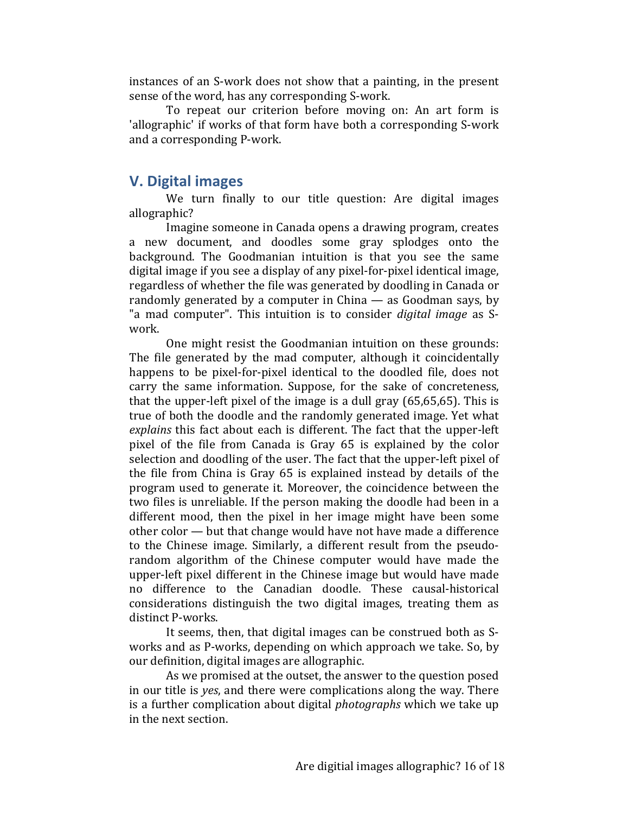instances of an S-work does not show that a painting, in the present sense of the word, has any corresponding S-work.

To repeat our criterion before moving on: An art form is 'allographic' if works of that form have both a corresponding S-work and a corresponding P-work.

### **V. Digital images**

We turn finally to our title question: Are digital images allographic?

Imagine someone in Canada opens a drawing program, creates a new document, and doodles some gray splodges onto the background. The Goodmanian intuition is that you see the same digital image if you see a display of any pixel-for-pixel identical image, regardless of whether the file was generated by doodling in Canada or randomly generated by a computer in China  $-$  as Goodman says, by "a mad computer". This intuition is to consider *digital image* as Swork.

One might resist the Goodmanian intuition on these grounds: The file generated by the mad computer, although it coincidentally happens to be pixel-for-pixel identical to the doodled file, does not carry the same information. Suppose, for the sake of concreteness, that the upper-left pixel of the image is a dull gray  $(65,65,65)$ . This is true of both the doodle and the randomly generated image. Yet what explains this fact about each is different. The fact that the upper-left pixel of the file from Canada is Gray 65 is explained by the color selection and doodling of the user. The fact that the upper-left pixel of the file from China is Gray 65 is explained instead by details of the program used to generate it. Moreover, the coincidence between the two files is unreliable. If the person making the doodle had been in a different mood, then the pixel in her image might have been some  $other color - but that change would have not have made a difference$ to the Chinese image. Similarly, a different result from the pseudorandom algorithm of the Chinese computer would have made the upper-left pixel different in the Chinese image but would have made no difference to the Canadian doodle. These causal-historical considerations distinguish the two digital images, treating them as distinct P-works.

It seems, then, that digital images can be construed both as Sworks and as P-works, depending on which approach we take. So, by our definition, digital images are allographic.

As we promised at the outset, the answer to the question posed in our title is *yes*, and there were complications along the way. There is a further complication about digital *photographs* which we take up in the next section.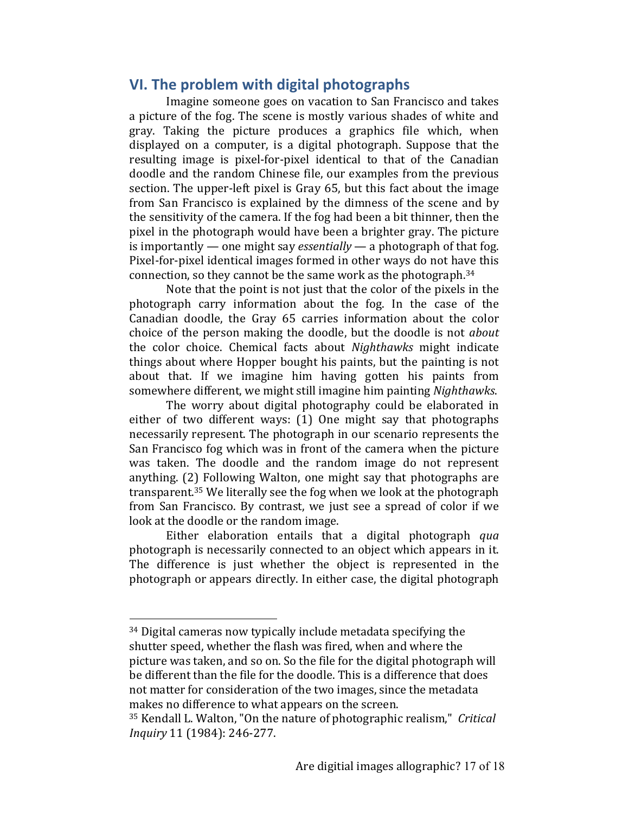# **VI.** The problem with digital photographs

Imagine someone goes on vacation to San Francisco and takes a picture of the fog. The scene is mostly various shades of white and gray. Taking the picture produces a graphics file which, when displayed on a computer, is a digital photograph. Suppose that the resulting image is pixel-for-pixel identical to that of the Canadian doodle and the random Chinese file, our examples from the previous section. The upper-left pixel is Gray 65, but this fact about the image from San Francisco is explained by the dimness of the scene and by the sensitivity of the camera. If the fog had been a bit thinner, then the pixel in the photograph would have been a brighter gray. The picture is importantly — one might say *essentially* — a photograph of that fog. Pixel-for-pixel identical images formed in other ways do not have this connection, so they cannot be the same work as the photograph.<sup>34</sup>

Note that the point is not just that the color of the pixels in the photograph carry information about the fog. In the case of the Canadian doodle, the Gray 65 carries information about the color choice of the person making the doodle, but the doodle is not *about* the color choice. Chemical facts about *Nighthawks* might indicate things about where Hopper bought his paints, but the painting is not about that. If we imagine him having gotten his paints from somewhere different, we might still imagine him painting *Nighthawks*.

The worry about digital photography could be elaborated in either of two different ways:  $(1)$  One might say that photographs necessarily represent. The photograph in our scenario represents the San Francisco fog which was in front of the camera when the picture was taken. The doodle and the random image do not represent anything. (2) Following Walton, one might say that photographs are transparent.<sup>35</sup> We literally see the fog when we look at the photograph from San Francisco. By contrast, we just see a spread of color if we look at the doodle or the random image.

Either elaboration entails that a digital photograph *qua* photograph is necessarily connected to an object which appears in it. The difference is just whether the object is represented in the photograph or appears directly. In either case, the digital photograph

 $34$  Digital cameras now typically include metadata specifying the shutter speed, whether the flash was fired, when and where the picture was taken, and so on. So the file for the digital photograph will be different than the file for the doodle. This is a difference that does not matter for consideration of the two images, since the metadata makes no difference to what appears on the screen.

<sup>&</sup>lt;sup>35</sup> Kendall L. Walton, "On the nature of photographic realism," *Critical Inquiry* 11 (1984): 246-277.